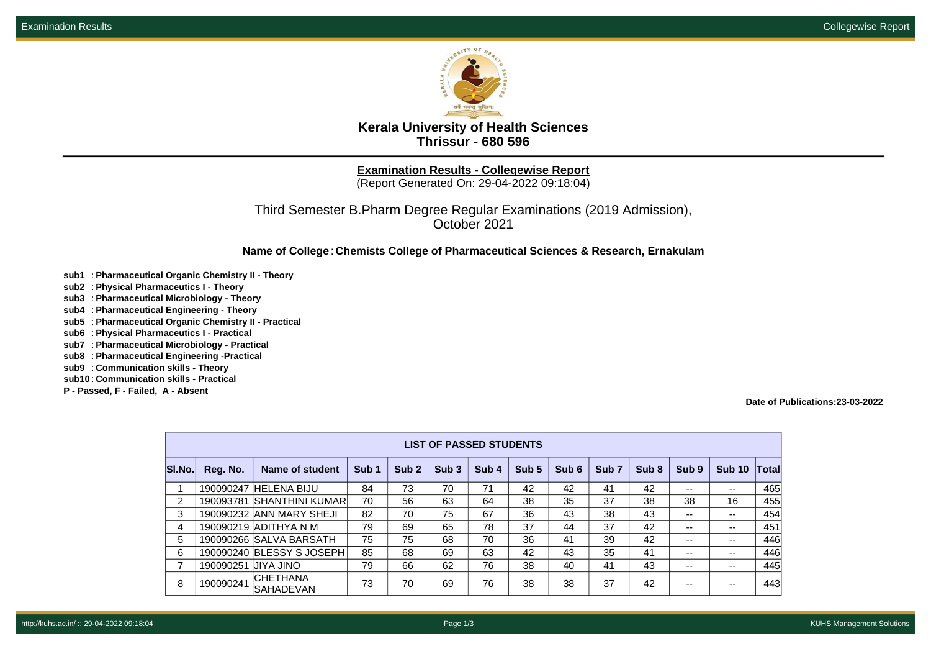

**Kerala University of Health Sciences Thrissur - 680 596**

**Examination Results - Collegewise Report**

(Report Generated On: 29-04-2022 09:18:04)

Third Semester B.Pharm Degree Regular Examinations (2019 Admission), October 2021

**Name of College**: **Chemists College of Pharmaceutical Sciences & Research, Ernakulam**

- **sub1** : **Pharmaceutical Organic Chemistry II Theory**
- **sub2** : **Physical Pharmaceutics I Theory**
- **sub3** : **Pharmaceutical Microbiology Theory**
- **sub4** : **Pharmaceutical Engineering Theory**
- **sub5** : **Pharmaceutical Organic Chemistry II Practical**
- **sub6** : **Physical Pharmaceutics I Practical**
- **sub7** : **Pharmaceutical Microbiology Practical**
- **sub8** : **Pharmaceutical Engineering -Practical**
- **sub9** : **Communication skills Theory**
- **sub10** : **Communication skills Practical**
- **P Passed, F Failed, A Absent**

**Date of Publications:23-03-2022**

| <b>LIST OF PASSED STUDENTS</b> |           |                                     |                  |                  |                  |       |                  |       |                  |       |       |               |              |
|--------------------------------|-----------|-------------------------------------|------------------|------------------|------------------|-------|------------------|-------|------------------|-------|-------|---------------|--------------|
| SI.No.                         | Reg. No.  | Name of student                     | Sub <sub>1</sub> | Sub <sub>2</sub> | Sub <sub>3</sub> | Sub 4 | Sub <sub>5</sub> | Sub 6 | Sub <sub>7</sub> | Sub 8 | Sub 9 | <b>Sub 10</b> | <b>Total</b> |
|                                |           | 190090247 HELENA BIJU               | 84               | 73               | 70               | 71    | 42               | 42    | 41               | 42    | --    | --            | 465          |
| $\overline{2}$                 | 190093781 | <b>SHANTHINI KUMAR</b>              | 70               | 56               | 63               | 64    | 38               | 35    | 37               | 38    | 38    | 16            | 455          |
| 3                              |           | 190090232 ANN MARY SHEJI            | 82               | 70               | 75               | 67    | 36               | 43    | 38               | 43    | --    | --            | 454          |
| 4                              |           | 190090219 ADITHYA N M               | 79               | 69               | 65               | 78    | 37               | 44    | 37               | 42    | --    | --            | 451          |
| 5                              |           | 190090266 SALVA BARSATH             | 75               | 75               | 68               | 70    | 36               | 41    | 39               | 42    | --    | --            | 446          |
| 6                              |           | 190090240 BLESSY S JOSEPH           | 85               | 68               | 69               | 63    | 42               | 43    | 35               | 41    | --    | $- -$         | 446          |
| $\overline{ }$                 | 190090251 | <b>UIL AYIL</b>                     | 79               | 66               | 62               | 76    | 38               | 40    | 41               | 43    | --    | $- -$         | 445          |
| 8                              | 190090241 | <b>CHETHANA</b><br><b>SAHADEVAN</b> | 73               | 70               | 69               | 76    | 38               | 38    | 37               | 42    |       |               | 443          |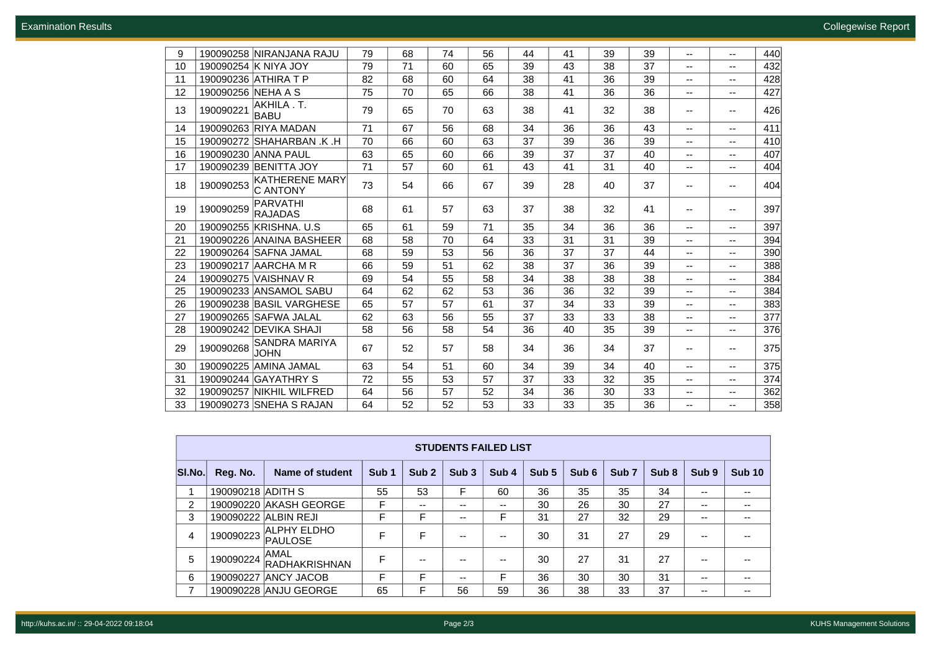| 9  |                    | 190090258 NIRANJANA RAJU                 | 79 | 68 | 74 | 56 | 44 | 41 | 39 | 39 | -- | $\overline{\phantom{a}}$ | 440 |
|----|--------------------|------------------------------------------|----|----|----|----|----|----|----|----|----|--------------------------|-----|
| 10 |                    | 190090254 K NIYA JOY                     | 79 | 71 | 60 | 65 | 39 | 43 | 38 | 37 | -- | $\overline{\phantom{a}}$ | 432 |
| 11 |                    | 190090236 ATHIRA T P                     | 82 | 68 | 60 | 64 | 38 | 41 | 36 | 39 | -- | $\overline{\phantom{a}}$ | 428 |
| 12 | 190090256 NEHA A S |                                          | 75 | 70 | 65 | 66 | 38 | 41 | 36 | 36 | -- | $\overline{\phantom{a}}$ | 427 |
| 13 | 190090221          | AKHILA.T.<br><b>BABU</b>                 | 79 | 65 | 70 | 63 | 38 | 41 | 32 | 38 | -- | $\overline{\phantom{a}}$ | 426 |
| 14 |                    | 190090263 RIYA MADAN                     | 71 | 67 | 56 | 68 | 34 | 36 | 36 | 43 | ۰. | $\overline{\phantom{a}}$ | 411 |
| 15 |                    | 190090272 SHAHARBAN .K .H                | 70 | 66 | 60 | 63 | 37 | 39 | 36 | 39 | -- | $\overline{\phantom{a}}$ | 410 |
| 16 | 190090230          | <b>ANNA PAUL</b>                         | 63 | 65 | 60 | 66 | 39 | 37 | 37 | 40 | -- | $\overline{\phantom{a}}$ | 407 |
| 17 |                    | 190090239 BENITTA JOY                    | 71 | 57 | 60 | 61 | 43 | 41 | 31 | 40 | -- | $\overline{\phantom{a}}$ | 404 |
| 18 | 190090253          | <b>KATHERENE MARY</b><br><b>C ANTONY</b> | 73 | 54 | 66 | 67 | 39 | 28 | 40 | 37 | -- | $\overline{\phantom{a}}$ | 404 |
| 19 | 190090259          | <b>PARVATHI</b><br><b>RAJADAS</b>        | 68 | 61 | 57 | 63 | 37 | 38 | 32 | 41 | -- | $\overline{\phantom{a}}$ | 397 |
| 20 |                    | 190090255 KRISHNA, U.S.                  | 65 | 61 | 59 | 71 | 35 | 34 | 36 | 36 | -- | $\overline{\phantom{a}}$ | 397 |
| 21 |                    | 190090226 ANAINA BASHEER                 | 68 | 58 | 70 | 64 | 33 | 31 | 31 | 39 | -- | $\overline{\phantom{a}}$ | 394 |
| 22 |                    | 190090264 SAFNA JAMAL                    | 68 | 59 | 53 | 56 | 36 | 37 | 37 | 44 | -- | $\overline{\phantom{a}}$ | 390 |
| 23 |                    | 190090217 AARCHA M R                     | 66 | 59 | 51 | 62 | 38 | 37 | 36 | 39 | ۰. | $\overline{\phantom{a}}$ | 388 |
| 24 |                    | 190090275 VAISHNAV R                     | 69 | 54 | 55 | 58 | 34 | 38 | 38 | 38 | -- | $\overline{\phantom{a}}$ | 384 |
| 25 |                    | 190090233 ANSAMOL SABU                   | 64 | 62 | 62 | 53 | 36 | 36 | 32 | 39 | -- | $\overline{\phantom{a}}$ | 384 |
| 26 |                    | 190090238 BASIL VARGHESE                 | 65 | 57 | 57 | 61 | 37 | 34 | 33 | 39 | -- | $\overline{\phantom{a}}$ | 383 |
| 27 |                    | 190090265 SAFWA JALAL                    | 62 | 63 | 56 | 55 | 37 | 33 | 33 | 38 | -- | $\overline{\phantom{a}}$ | 377 |
| 28 |                    | 190090242 DEVIKA SHAJI                   | 58 | 56 | 58 | 54 | 36 | 40 | 35 | 39 | ۰. | $\overline{\phantom{m}}$ | 376 |
| 29 | 190090268          | SANDRA MARIYA<br>JOHN                    | 67 | 52 | 57 | 58 | 34 | 36 | 34 | 37 | -- | --                       | 375 |
| 30 |                    | 190090225 AMINA JAMAL                    | 63 | 54 | 51 | 60 | 34 | 39 | 34 | 40 | -- | $\overline{\phantom{a}}$ | 375 |
| 31 | 190090244          | <b>GAYATHRY S</b>                        | 72 | 55 | 53 | 57 | 37 | 33 | 32 | 35 | -- | $\overline{\phantom{a}}$ | 374 |
| 32 |                    | 190090257 NIKHIL WILFRED                 | 64 | 56 | 57 | 52 | 34 | 36 | 30 | 33 | -- | $\overline{\phantom{a}}$ | 362 |
| 33 |                    | 190090273 SNEHA S RAJAN                  | 64 | 52 | 52 | 53 | 33 | 33 | 35 | 36 | -- | $-$                      | 358 |

|        | <b>STUDENTS FAILED LIST</b> |                                      |                  |                  |                  |                  |       |       |                  |                  |                  |               |  |  |
|--------|-----------------------------|--------------------------------------|------------------|------------------|------------------|------------------|-------|-------|------------------|------------------|------------------|---------------|--|--|
| SI.No. | Reg. No.                    | Name of student                      | Sub <sub>1</sub> | Sub <sub>2</sub> | Sub <sub>3</sub> | Sub <sub>4</sub> | Sub 5 | Sub 6 | Sub <sub>7</sub> | Sub <sub>8</sub> | Sub <sub>9</sub> | <b>Sub 10</b> |  |  |
|        | 190090218 ADITH S           |                                      | 55               | 53               | F                | 60               | 36    | 35    | 35               | 34               | --               | $- -$         |  |  |
| 2      |                             | 190090220 AKASH GEORGE               | F                | --               | --               | --               | 30    | 26    | 30               | 27               | --               | $- -$         |  |  |
| 3      |                             | 190090222 ALBIN REJI                 | F                | F                | --               |                  | 31    | 27    | 32               | 29               | --               | $- -$         |  |  |
| 4      | 190090223                   | <b>ALPHY ELDHO</b><br><b>PAULOSE</b> | F                | F                | --               | --               | 30    | 31    | 27               | 29               | --               | $- -$         |  |  |
| 5      | 190090224                   | AMAL<br>RADHAKRISHNAN                | F                | --               |                  | --               | 30    | 27    | 31               | 27               | --               | $- -$         |  |  |
| 6      | 190090227                   | <b>ANCY JACOB</b>                    | F                | F                | --               | F                | 36    | 30    | 30               | 31               | --               | $-$           |  |  |
| 7      |                             | 190090228 ANJU GEORGE                | 65               |                  | 56               | 59               | 36    | 38    | 33               | 37               | --               | $- -$         |  |  |